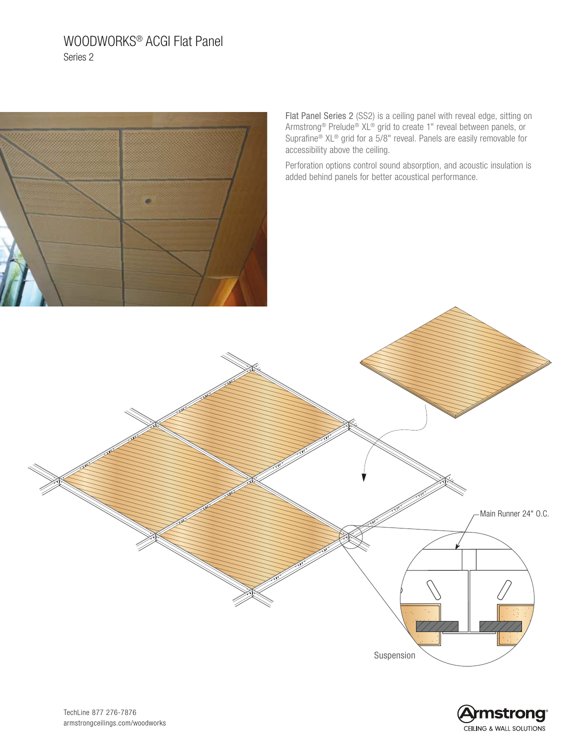# WOODWORKS® ACGI Flat Panel Series 2



Flat Panel Series 2 (SS2) is a ceiling panel with reveal edge, sitting on Armstrong® Prelude® XL® grid to create 1" reveal between panels, or Suprafine® XL® grid for a 5/8" reveal. Panels are easily removable for accessibility above the ceiling.

Perforation options control sound absorption, and acoustic insulation is added behind panels for better acoustical performance.